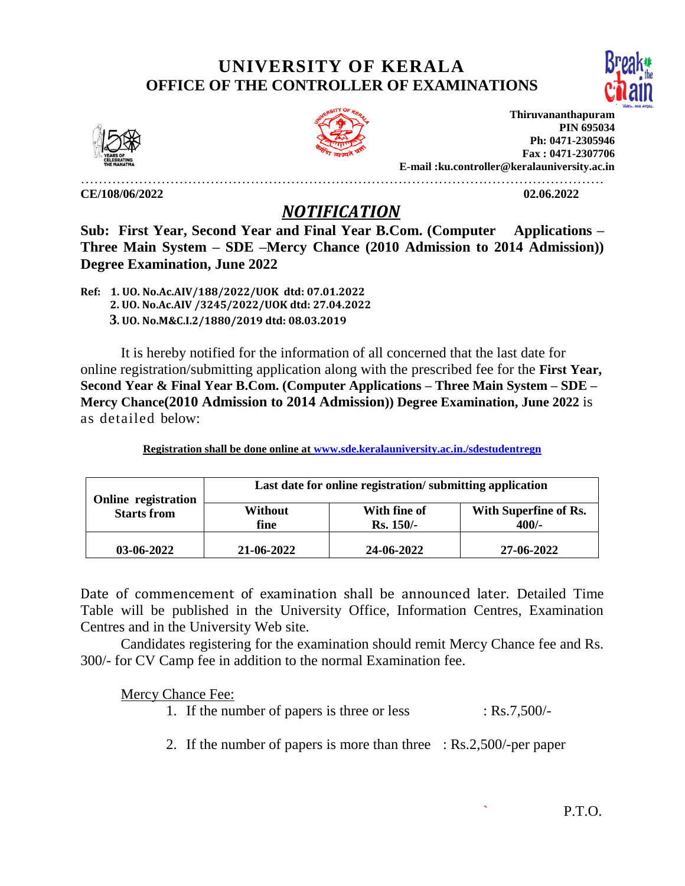## **UNIVERSITY OF KERALA OFFICE OF THE CONTROLLER OF EXAMINATIONS**







**Thiruvananthapuram PIN 695034 Ph: 0471-2305946 Fax : 0471-2307706 E-mail :ku.controller@keralauniversity.ac.in**

………………………………………………………………………………………………………

**CE/108/06/2022 02.06.2022** 

## *NOTIFICATION*

**Sub: First Year, Second Year and Final Year B.Com. (Computer Applications – Three Main System – SDE –Mercy Chance (2010 Admission to 2014 Admission)) Degree Examination, June 2022**

**Ref: 1. UO. No.Ac.AIV/188/2022/UOK dtd: 07.01.2022 2. UO. No.Ac.AIV /3245/2022/UOK dtd: 27.04.2022 3. UO. No.M&C.I.2/1880/2019 dtd: 08.03.2019**

It is hereby notified for the information of all concerned that the last date for online registration/submitting application along with the prescribed fee for the **First Year, Second Year & Final Year B.Com. (Computer Applications – Three Main System – SDE – Mercy Chance(2010 Admission to 2014 Admission)) Degree Examination, June 2022** is as detailed below:

| Last date for online registration/submitting application |
|----------------------------------------------------------|

**Registration shall be done online at [www.sde.keralauniversity.ac.in./sdestudentregn](http://www.sde.keralauniversity.ac.in./sdestudentregn)**

| Online registration<br><b>Starts from</b> | Last date for online registration/submitting application |                             |                                |  |
|-------------------------------------------|----------------------------------------------------------|-----------------------------|--------------------------------|--|
|                                           | Without<br>fine                                          | With fine of<br>$Rs. 150/-$ | With Superfine of Rs.<br>400/- |  |
| 03-06-2022                                | 21-06-2022                                               | 24-06-2022                  | 27-06-2022                     |  |

Date of commencement of examination shall be announced later. Detailed Time Table will be published in the University Office, Information Centres, Examination Centres and in the University Web site.

Candidates registering for the examination should remit Mercy Chance fee and Rs. 300/- for CV Camp fee in addition to the normal Examination fee.

Mercy Chance Fee:

- 1. If the number of papers is three or less : Rs.7,500/-
- 2. If the number of papers is more than three : Rs.2,500/-per paper